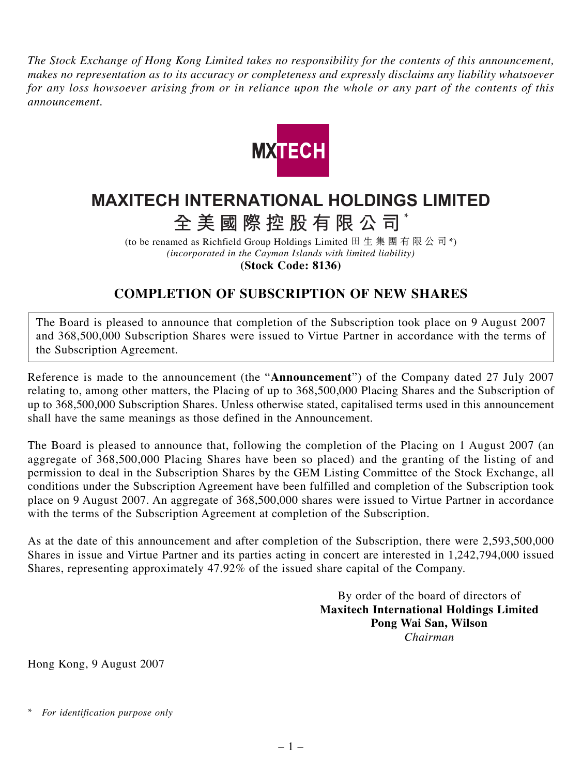*The Stock Exchange of Hong Kong Limited takes no responsibility for the contents of this announcement, makes no representation as to its accuracy or completeness and expressly disclaims any liability whatsoever for any loss howsoever arising from or in reliance upon the whole or any part of the contents of this announcement.*



## **MAXITECH INTERNATIONAL HOLDINGS LIMITED**

**全美國際控股有限公司** \*

(to be renamed as Richfield Group Holdings Limited 田生集團有限公司\*) *(incorporated in the Cayman Islands with limited liability)* **(Stock Code: 8136)**

## **COMPLETION OF SUBSCRIPTION OF NEW SHARES**

The Board is pleased to announce that completion of the Subscription took place on 9 August 2007 and 368,500,000 Subscription Shares were issued to Virtue Partner in accordance with the terms of the Subscription Agreement.

Reference is made to the announcement (the "**Announcement**") of the Company dated 27 July 2007 relating to, among other matters, the Placing of up to 368,500,000 Placing Shares and the Subscription of up to 368,500,000 Subscription Shares. Unless otherwise stated, capitalised terms used in this announcement shall have the same meanings as those defined in the Announcement.

The Board is pleased to announce that, following the completion of the Placing on 1 August 2007 (an aggregate of 368,500,000 Placing Shares have been so placed) and the granting of the listing of and permission to deal in the Subscription Shares by the GEM Listing Committee of the Stock Exchange, all conditions under the Subscription Agreement have been fulfilled and completion of the Subscription took place on 9 August 2007. An aggregate of 368,500,000 shares were issued to Virtue Partner in accordance with the terms of the Subscription Agreement at completion of the Subscription.

As at the date of this announcement and after completion of the Subscription, there were 2,593,500,000 Shares in issue and Virtue Partner and its parties acting in concert are interested in 1,242,794,000 issued Shares, representing approximately 47.92% of the issued share capital of the Company.

> By order of the board of directors of **Maxitech International Holdings Limited Pong Wai San, Wilson** *Chairman*

Hong Kong, 9 August 2007

*<sup>\*</sup> For identification purpose only*